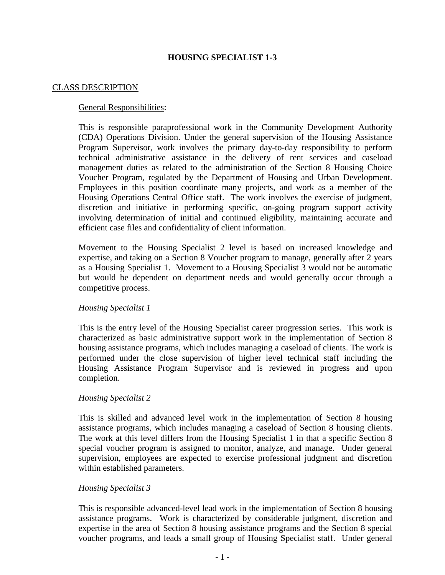# **HOUSING SPECIALIST 1-3**

#### CLASS DESCRIPTION

#### General Responsibilities:

This is responsible paraprofessional work in the Community Development Authority (CDA) Operations Division. Under the general supervision of the Housing Assistance Program Supervisor, work involves the primary day-to-day responsibility to perform technical administrative assistance in the delivery of rent services and caseload management duties as related to the administration of the Section 8 Housing Choice Voucher Program, regulated by the Department of Housing and Urban Development. Employees in this position coordinate many projects, and work as a member of the Housing Operations Central Office staff. The work involves the exercise of judgment, discretion and initiative in performing specific, on-going program support activity involving determination of initial and continued eligibility, maintaining accurate and efficient case files and confidentiality of client information.

Movement to the Housing Specialist 2 level is based on increased knowledge and expertise, and taking on a Section 8 Voucher program to manage, generally after 2 years as a Housing Specialist 1. Movement to a Housing Specialist 3 would not be automatic but would be dependent on department needs and would generally occur through a competitive process.

## *Housing Specialist 1*

This is the entry level of the Housing Specialist career progression series. This work is characterized as basic administrative support work in the implementation of Section 8 housing assistance programs, which includes managing a caseload of clients. The work is performed under the close supervision of higher level technical staff including the Housing Assistance Program Supervisor and is reviewed in progress and upon completion.

#### *Housing Specialist 2*

This is skilled and advanced level work in the implementation of Section 8 housing assistance programs, which includes managing a caseload of Section 8 housing clients. The work at this level differs from the Housing Specialist 1 in that a specific Section 8 special voucher program is assigned to monitor, analyze, and manage. Under general supervision, employees are expected to exercise professional judgment and discretion within established parameters.

#### *Housing Specialist 3*

This is responsible advanced-level lead work in the implementation of Section 8 housing assistance programs. Work is characterized by considerable judgment, discretion and expertise in the area of Section 8 housing assistance programs and the Section 8 special voucher programs, and leads a small group of Housing Specialist staff. Under general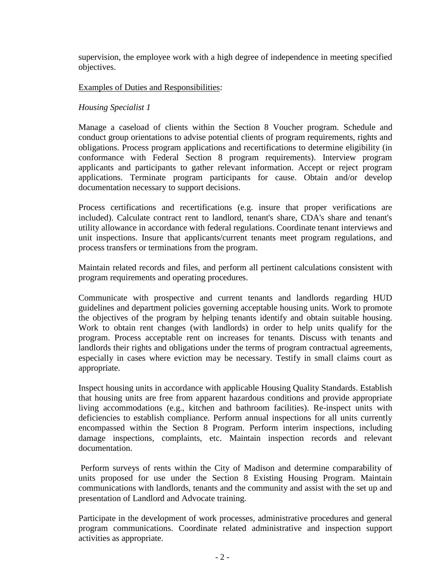supervision, the employee work with a high degree of independence in meeting specified objectives.

# Examples of Duties and Responsibilities:

# *Housing Specialist 1*

Manage a caseload of clients within the Section 8 Voucher program. Schedule and conduct group orientations to advise potential clients of program requirements, rights and obligations. Process program applications and recertifications to determine eligibility (in conformance with Federal Section 8 program requirements). Interview program applicants and participants to gather relevant information. Accept or reject program applications. Terminate program participants for cause. Obtain and/or develop documentation necessary to support decisions.

Process certifications and recertifications (e.g. insure that proper verifications are included). Calculate contract rent to landlord, tenant's share, CDA's share and tenant's utility allowance in accordance with federal regulations. Coordinate tenant interviews and unit inspections. Insure that applicants/current tenants meet program regulations, and process transfers or terminations from the program.

Maintain related records and files, and perform all pertinent calculations consistent with program requirements and operating procedures.

Communicate with prospective and current tenants and landlords regarding HUD guidelines and department policies governing acceptable housing units. Work to promote the objectives of the program by helping tenants identify and obtain suitable housing. Work to obtain rent changes (with landlords) in order to help units qualify for the program. Process acceptable rent on increases for tenants. Discuss with tenants and landlords their rights and obligations under the terms of program contractual agreements, especially in cases where eviction may be necessary. Testify in small claims court as appropriate.

Inspect housing units in accordance with applicable Housing Quality Standards. Establish that housing units are free from apparent hazardous conditions and provide appropriate living accommodations (e.g., kitchen and bathroom facilities). Re-inspect units with deficiencies to establish compliance. Perform annual inspections for all units currently encompassed within the Section 8 Program. Perform interim inspections, including damage inspections, complaints, etc. Maintain inspection records and relevant documentation.

Perform surveys of rents within the City of Madison and determine comparability of units proposed for use under the Section 8 Existing Housing Program. Maintain communications with landlords, tenants and the community and assist with the set up and presentation of Landlord and Advocate training.

Participate in the development of work processes, administrative procedures and general program communications. Coordinate related administrative and inspection support activities as appropriate.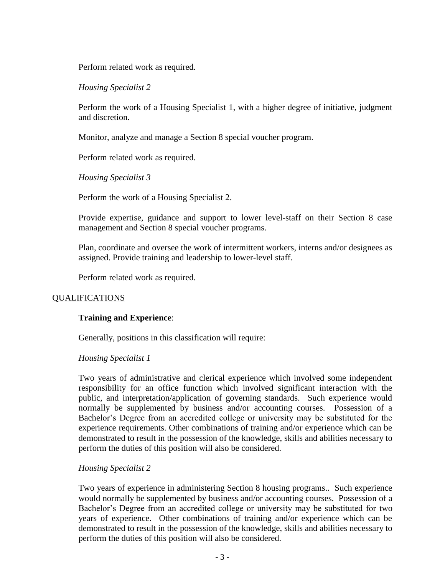Perform related work as required.

*Housing Specialist 2*

Perform the work of a Housing Specialist 1, with a higher degree of initiative, judgment and discretion.

Monitor, analyze and manage a Section 8 special voucher program.

Perform related work as required.

*Housing Specialist 3*

Perform the work of a Housing Specialist 2.

Provide expertise, guidance and support to lower level-staff on their Section 8 case management and Section 8 special voucher programs.

Plan, coordinate and oversee the work of intermittent workers, interns and/or designees as assigned. Provide training and leadership to lower-level staff.

Perform related work as required.

# QUALIFICATIONS

## **Training and Experience**:

Generally, positions in this classification will require:

## *Housing Specialist 1*

Two years of administrative and clerical experience which involved some independent responsibility for an office function which involved significant interaction with the public, and interpretation/application of governing standards. Such experience would normally be supplemented by business and/or accounting courses. Possession of a Bachelor's Degree from an accredited college or university may be substituted for the experience requirements. Other combinations of training and/or experience which can be demonstrated to result in the possession of the knowledge, skills and abilities necessary to perform the duties of this position will also be considered.

## *Housing Specialist 2*

Two years of experience in administering Section 8 housing programs.. Such experience would normally be supplemented by business and/or accounting courses. Possession of a Bachelor's Degree from an accredited college or university may be substituted for two years of experience. Other combinations of training and/or experience which can be demonstrated to result in the possession of the knowledge, skills and abilities necessary to perform the duties of this position will also be considered.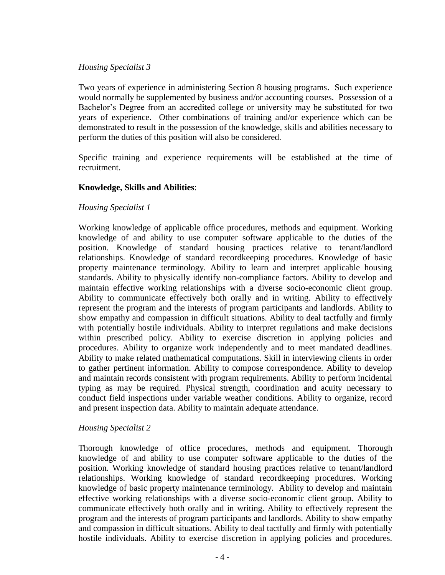#### *Housing Specialist 3*

Two years of experience in administering Section 8 housing programs. Such experience would normally be supplemented by business and/or accounting courses. Possession of a Bachelor's Degree from an accredited college or university may be substituted for two years of experience. Other combinations of training and/or experience which can be demonstrated to result in the possession of the knowledge, skills and abilities necessary to perform the duties of this position will also be considered.

Specific training and experience requirements will be established at the time of recruitment.

## **Knowledge, Skills and Abilities**:

## *Housing Specialist 1*

Working knowledge of applicable office procedures, methods and equipment. Working knowledge of and ability to use computer software applicable to the duties of the position. Knowledge of standard housing practices relative to tenant/landlord relationships. Knowledge of standard recordkeeping procedures. Knowledge of basic property maintenance terminology. Ability to learn and interpret applicable housing standards. Ability to physically identify non-compliance factors. Ability to develop and maintain effective working relationships with a diverse socio-economic client group. Ability to communicate effectively both orally and in writing. Ability to effectively represent the program and the interests of program participants and landlords. Ability to show empathy and compassion in difficult situations. Ability to deal tactfully and firmly with potentially hostile individuals. Ability to interpret regulations and make decisions within prescribed policy. Ability to exercise discretion in applying policies and procedures. Ability to organize work independently and to meet mandated deadlines. Ability to make related mathematical computations. Skill in interviewing clients in order to gather pertinent information. Ability to compose correspondence. Ability to develop and maintain records consistent with program requirements. Ability to perform incidental typing as may be required. Physical strength, coordination and acuity necessary to conduct field inspections under variable weather conditions. Ability to organize, record and present inspection data. Ability to maintain adequate attendance.

## *Housing Specialist 2*

Thorough knowledge of office procedures, methods and equipment. Thorough knowledge of and ability to use computer software applicable to the duties of the position. Working knowledge of standard housing practices relative to tenant/landlord relationships. Working knowledge of standard recordkeeping procedures. Working knowledge of basic property maintenance terminology. Ability to develop and maintain effective working relationships with a diverse socio-economic client group. Ability to communicate effectively both orally and in writing. Ability to effectively represent the program and the interests of program participants and landlords. Ability to show empathy and compassion in difficult situations. Ability to deal tactfully and firmly with potentially hostile individuals. Ability to exercise discretion in applying policies and procedures.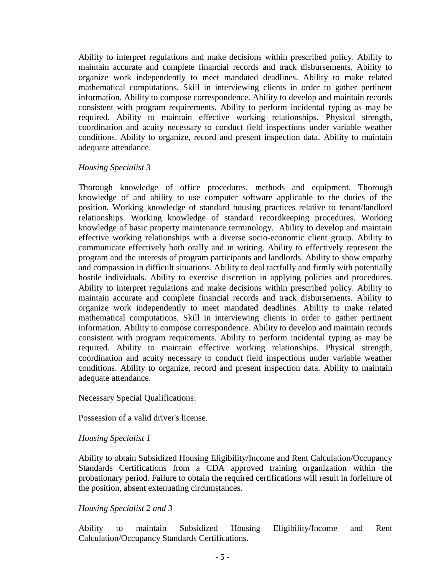Ability to interpret regulations and make decisions within prescribed policy. Ability to maintain accurate and complete financial records and track disbursements. Ability to organize work independently to meet mandated deadlines. Ability to make related mathematical computations. Skill in interviewing clients in order to gather pertinent information. Ability to compose correspondence. Ability to develop and maintain records consistent with program requirements. Ability to perform incidental typing as may be required. Ability to maintain effective working relationships. Physical strength, coordination and acuity necessary to conduct field inspections under variable weather conditions. Ability to organize, record and present inspection data. Ability to maintain adequate attendance.

## *Housing Specialist 3*

Thorough knowledge of office procedures, methods and equipment. Thorough knowledge of and ability to use computer software applicable to the duties of the position. Working knowledge of standard housing practices relative to tenant/landlord relationships. Working knowledge of standard recordkeeping procedures. Working knowledge of basic property maintenance terminology. Ability to develop and maintain effective working relationships with a diverse socio-economic client group. Ability to communicate effectively both orally and in writing. Ability to effectively represent the program and the interests of program participants and landlords. Ability to show empathy and compassion in difficult situations. Ability to deal tactfully and firmly with potentially hostile individuals. Ability to exercise discretion in applying policies and procedures. Ability to interpret regulations and make decisions within prescribed policy. Ability to maintain accurate and complete financial records and track disbursements. Ability to organize work independently to meet mandated deadlines. Ability to make related mathematical computations. Skill in interviewing clients in order to gather pertinent information. Ability to compose correspondence. Ability to develop and maintain records consistent with program requirements. Ability to perform incidental typing as may be required. Ability to maintain effective working relationships. Physical strength, coordination and acuity necessary to conduct field inspections under variable weather conditions. Ability to organize, record and present inspection data. Ability to maintain adequate attendance.

## Necessary Special Qualifications:

Possession of a valid driver's license.

## *Housing Specialist 1*

Ability to obtain Subsidized Housing Eligibility/Income and Rent Calculation/Occupancy Standards Certifications from a CDA approved training organization within the probationary period. Failure to obtain the required certifications will result in forfeiture of the position, absent extenuating circumstances.

## *Housing Specialist 2 and 3*

Ability to maintain Subsidized Housing Eligibility/Income and Rent Calculation/Occupancy Standards Certifications.